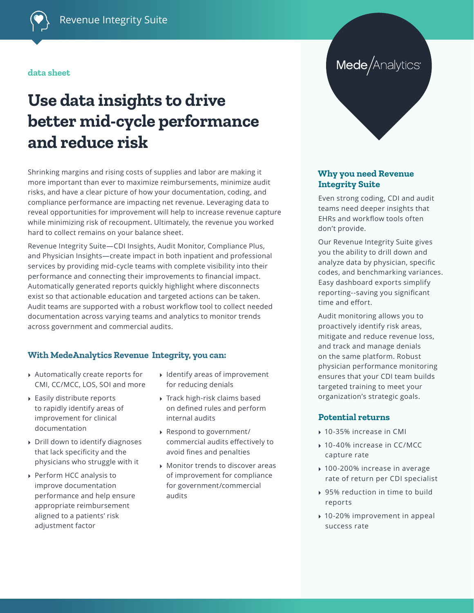#### **data sheet**

# **Use data insights to drive better mid-cycle performance and reduce risk**

Shrinking margins and rising costs of supplies and labor are making it more important than ever to maximize reimbursements, minimize audit risks, and have a clear picture of how your documentation, coding, and compliance performance are impacting net revenue. Leveraging data to reveal opportunities for improvement will help to increase revenue capture while minimizing risk of recoupment. Ultimately, the revenue you worked hard to collect remains on your balance sheet.

Revenue Integrity Suite—CDI Insights, Audit Monitor, Compliance Plus, and Physician Insights—create impact in both inpatient and professional services by providing mid-cycle teams with complete visibility into their performance and connecting their improvements to financial impact. Automatically generated reports quickly highlight where disconnects exist so that actionable education and targeted actions can be taken. Audit teams are supported with a robust workflow tool to collect needed documentation across varying teams and analytics to monitor trends across government and commercial audits.

#### **With MedeAnalytics Revenue Integrity, you can:**

- ▸ Automatically create reports for CMI, CC/MCC, LOS, SOI and more
- ▸ Easily distribute reports to rapidly identify areas of improvement for clinical documentation
- ▸ Drill down to identify diagnoses that lack specificity and the physicians who struggle with it
- ▸ Perform HCC analysis to improve documentation performance and help ensure appropriate reimbursement aligned to a patients' risk adjustment factor
- ▸ Identify areas of improvement for reducing denials
- ▸ Track high-risk claims based on defined rules and perform internal audits
- ▸ Respond to government/ commercial audits effectively to avoid fines and penalties
- ▸ Monitor trends to discover areas of improvement for compliance for government/commercial audits

## Mede/Analytics<sup>®</sup>

#### **Why you need Revenue Integrity Suite**

Even strong coding, CDI and audit teams need deeper insights that EHRs and workflow tools often don't provide.

Our Revenue Integrity Suite gives you the ability to drill down and analyze data by physician, specific codes, and benchmarking variances. Easy dashboard exports simplify reporting--saving you significant time and effort.

Audit monitoring allows you to proactively identify risk areas, mitigate and reduce revenue loss, and track and manage denials on the same platform. Robust physician performance monitoring ensures that your CDI team builds targeted training to meet your organization's strategic goals.

#### **Potential returns**

- ▸ 10-35% increase in CMI
- ▸ 10-40% increase in CC/MCC capture rate
- ▸ 100-200% increase in average rate of return per CDI specialist
- ▸ 95% reduction in time to build reports
- ▸ 10-20% improvement in appeal success rate